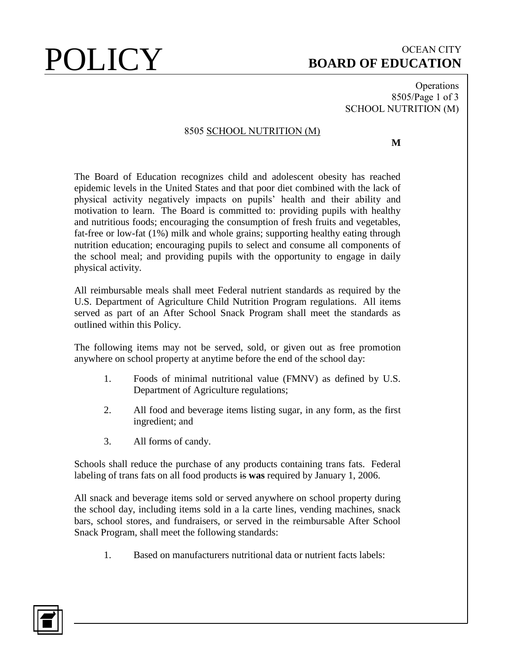# $\text{POLICY} \hspace{1cm} \text{soard of EDUCATION}$ **BOARD OF EDUCATION**

Operations 8505/Page 1 of 3 SCHOOL NUTRITION (M)

### 8505 SCHOOL NUTRITION (M)

**M**

The Board of Education recognizes child and adolescent obesity has reached epidemic levels in the United States and that poor diet combined with the lack of physical activity negatively impacts on pupils' health and their ability and motivation to learn. The Board is committed to: providing pupils with healthy and nutritious foods; encouraging the consumption of fresh fruits and vegetables, fat-free or low-fat  $(1%)$  milk and whole grains; supporting healthy eating through nutrition education; encouraging pupils to select and consume all components of the school meal; and providing pupils with the opportunity to engage in daily physical activity.

All reimbursable meals shall meet Federal nutrient standards as required by the U.S. Department of Agriculture Child Nutrition Program regulations. All items served as part of an After School Snack Program shall meet the standards as outlined within this Policy.

The following items may not be served, sold, or given out as free promotion anywhere on school property at anytime before the end of the school day:

- 1. Foods of minimal nutritional value (FMNV) as defined by U.S. Department of Agriculture regulations;
- 2. All food and beverage items listing sugar, in any form, as the first ingredient; and
- 3. All forms of candy.

Schools shall reduce the purchase of any products containing trans fats. Federal labeling of trans fats on all food products is **was** required by January 1, 2006.

All snack and beverage items sold or served anywhere on school property during the school day, including items sold in a la carte lines, vending machines, snack bars, school stores, and fundraisers, or served in the reimbursable After School Snack Program, shall meet the following standards:

1. Based on manufacturers nutritional data or nutrient facts labels:

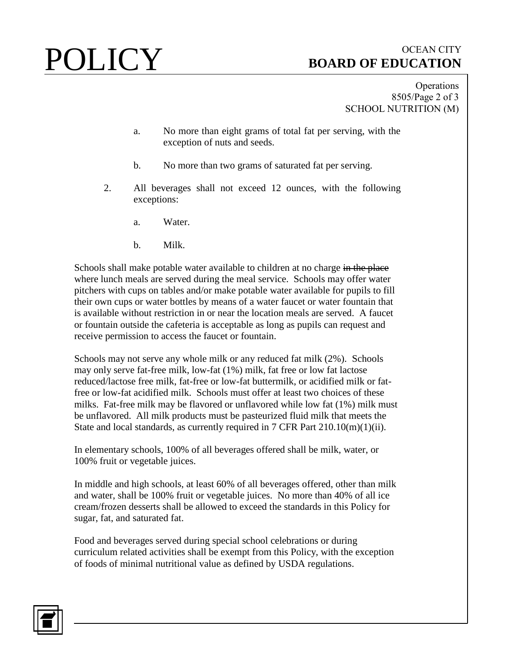# POLICY BOARD OF EDUCATION **BOARD OF EDUCATION**

Operations 8505/Page 2 of 3 SCHOOL NUTRITION (M)

- a. No more than eight grams of total fat per serving, with the exception of nuts and seeds.
- b. No more than two grams of saturated fat per serving.
- 2. All beverages shall not exceed 12 ounces, with the following exceptions:
	- a. Water.
	- b. Milk.

Schools shall make potable water available to children at no charge in the place where lunch meals are served during the meal service. Schools may offer water pitchers with cups on tables and/or make potable water available for pupils to fill their own cups or water bottles by means of a water faucet or water fountain that is available without restriction in or near the location meals are served. A faucet or fountain outside the cafeteria is acceptable as long as pupils can request and receive permission to access the faucet or fountain.

Schools may not serve any whole milk or any reduced fat milk (2%). Schools may only serve fat-free milk, low-fat (1%) milk, fat free or low fat lactose reduced/lactose free milk, fat-free or low-fat buttermilk, or acidified milk or fatfree or low-fat acidified milk. Schools must offer at least two choices of these milks. Fat-free milk may be flavored or unflavored while low fat (1%) milk must be unflavored. All milk products must be pasteurized fluid milk that meets the State and local standards, as currently required in 7 CFR Part 210.10(m)(1)(ii).

In elementary schools, 100% of all beverages offered shall be milk, water, or 100% fruit or vegetable juices.

In middle and high schools, at least 60% of all beverages offered, other than milk and water, shall be 100% fruit or vegetable juices. No more than 40% of all ice cream/frozen desserts shall be allowed to exceed the standards in this Policy for sugar, fat, and saturated fat.

Food and beverages served during special school celebrations or during curriculum related activities shall be exempt from this Policy, with the exception of foods of minimal nutritional value as defined by USDA regulations.